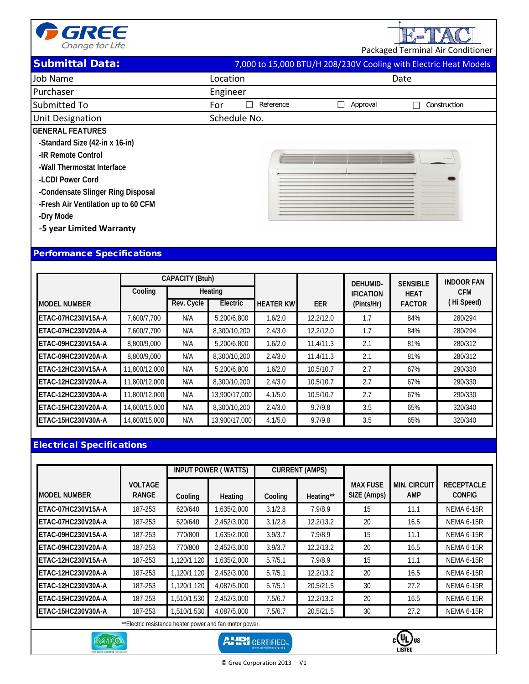

Packaged Terminal Air Conditioner

E-TAC

| <b>Submittal Data:</b> | 7,000 to 15,000 BTU/H 208/230V Cooling with Electric Heat Models |
|------------------------|------------------------------------------------------------------|

| Job Name                            | Location         | Date                     |
|-------------------------------------|------------------|--------------------------|
| Purchaser                           | Engineer         |                          |
| Submitted To                        | For<br>Reference | Approval<br>Construction |
| Unit Designation                    | Schedule No.     |                          |
| <b>GENERAL FEATURES</b>             |                  |                          |
| -Standard Size (42-in x 16-in)      |                  |                          |
| -IR Remote Control                  |                  |                          |
| -Wall Thermostat Interface          |                  |                          |
| -LCDI Power Cord                    |                  |                          |
| -Condensate Slinger Ring Disposal   |                  |                          |
| -Fresh Air Ventilation up to 60 CFM |                  |                          |
| -Dry Mode                           |                  |                          |
| -5 year Limited Warranty            |                  |                          |
|                                     |                  |                          |

## Performance Specifications

|                     |               | <b>CAPACITY (Btuh)</b> |               |                  |            | <b>DEHUMID-</b>  | <b>SENSIBLE</b> | <b>INDOOR FAN</b> |
|---------------------|---------------|------------------------|---------------|------------------|------------|------------------|-----------------|-------------------|
|                     | Cooling       |                        | Heating       |                  |            | <b>IFICATION</b> | <b>HEAT</b>     | <b>CFM</b>        |
| <b>MODEL NUMBER</b> |               | Rev. Cycle             | Electric      | <b>HEATER KW</b> | <b>EER</b> | (Pints/Hr)       | <b>FACTOR</b>   | (Hi Speed)        |
| ETAC-07HC230V15A-A  | 7,600/7,700   | N/A                    | 5,200/6,800   | 1.6/2.0          | 12.2/12.0  | 1.7              | 84%             | 280/294           |
| ETAC-07HC230V20A-A  | 7,600/7,700   | N/A                    | 8,300/10,200  | 2.4/3.0          | 12.2/12.0  | 1.7              | 84%             | 280/294           |
| ETAC-09HC230V15A-A  | 8,800/9,000   | N/A                    | 5,200/6,800   | 1.6/2.0          | 11.4/11.3  | 2.1              | 81%             | 280/312           |
| ETAC-09HC230V20A-A  | 8,800/9,000   | N/A                    | 8,300/10,200  | 2.4/3.0          | 11.4/11.3  | 2.1              | 81%             | 280/312           |
| ETAC-12HC230V15A-A  | 11,800/12,000 | N/A                    | 5,200/6,800   | 1.6/2.0          | 10.5/10.7  | 2.7              | 67%             | 290/330           |
| ETAC-12HC230V20A-A  | 11,800/12,000 | N/A                    | 8,300/10,200  | 2.4/3.0          | 10.5/10.7  | 2.7              | 67%             | 290/330           |
| ETAC-12HC230V30A-A  | 11,800/12,000 | N/A                    | 13,900/17,000 | 4.1/5.0          | 10.5/10.7  | 2.7              | 67%             | 290/330           |
| ETAC-15HC230V20A-A  | 14,600/15,000 | N/A                    | 8,300/10,200  | 2.4/3.0          | 9.7/9.8    | 3.5              | 65%             | 320/340           |
| ETAC-15HC230V30A-A  | 14,600/15,000 | N/A                    | 13,900/17,000 | 4.1/5.0          | 9.7/9.8    | 3.5              | 65%             | 320/340           |

## Electrical Specifications

R4102

|                                                         |                                |             | <b>INPUT POWER (WATTS)</b><br><b>CURRENT (AMPS)</b> |         |           |                                |                            |                                    |
|---------------------------------------------------------|--------------------------------|-------------|-----------------------------------------------------|---------|-----------|--------------------------------|----------------------------|------------------------------------|
| <b>MODEL NUMBER</b>                                     | <b>VOLTAGE</b><br><b>RANGE</b> | Cooling     | Heating                                             | Cooling | Heating** | <b>MAX FUSE</b><br>SIZE (Amps) | <b>MIN. CIRCUIT</b><br>AMP | <b>RECEPTACLE</b><br><b>CONFIG</b> |
| ETAC-07HC230V15A-A                                      | 187-253                        | 620/640     | 1,635/2,000                                         | 3.1/2.8 | 7.9/8.9   | 15                             | 11.1                       | NEMA 6-15R                         |
| ETAC-07HC230V20A-A                                      | 187-253                        | 620/640     | 2,452/3,000                                         | 3.1/2.8 | 12.2/13.2 | 20                             | 16.5                       | <b>NEMA 6-15R</b>                  |
| ETAC-09HC230V15A-A                                      | 187-253                        | 770/800     | 1,635/2,000                                         | 3.9/3.7 | 7.9/8.9   | 15                             | 11.1                       | <b>NEMA 6-15R</b>                  |
| ETAC-09HC230V20A-A                                      | 187-253                        | 770/800     | 2,452/3,000                                         | 3.9/3.7 | 12.2/13.2 | 20                             | 16.5                       | <b>NEMA 6-15R</b>                  |
| ETAC-12HC230V15A-A                                      | 187-253                        | 1,120/1,120 | 1,635/2,000                                         | 5.7/5.1 | 7.9/8.9   | 15                             | 11.1                       | <b>NEMA 6-15R</b>                  |
| <b>ETAC-12HC230V20A-A</b>                               | 187-253                        | 1,120/1,120 | 2,452/3,000                                         | 5.7/5.1 | 12.2/13.2 | 20                             | 16.5                       | <b>NEMA 6-15R</b>                  |
| ETAC-12HC230V30A-A                                      | 187-253                        | 1.120/1.120 | 4.087/5.000                                         | 5.7/5.1 | 20.5/21.5 | 30                             | 27.2                       | <b>NEMA 6-15R</b>                  |
| ETAC-15HC230V20A-A                                      | 187-253                        | 1,510/1,530 | 2,452/3,000                                         | 7.5/6.7 | 12.2/13.2 | 20                             | 16.5                       | <b>NEMA 6-15R</b>                  |
| ETAC-15HC230V30A-A                                      | 187-253                        | 1,510/1,530 | 4,087/5,000                                         | 7.5/6.7 | 20.5/21.5 | 30                             | 27.2                       | <b>NEMA 6-15R</b>                  |
| **Electric resistance heater power and fan motor power. |                                |             |                                                     |         |           |                                |                            |                                    |

**AHRI** CERTIFIED